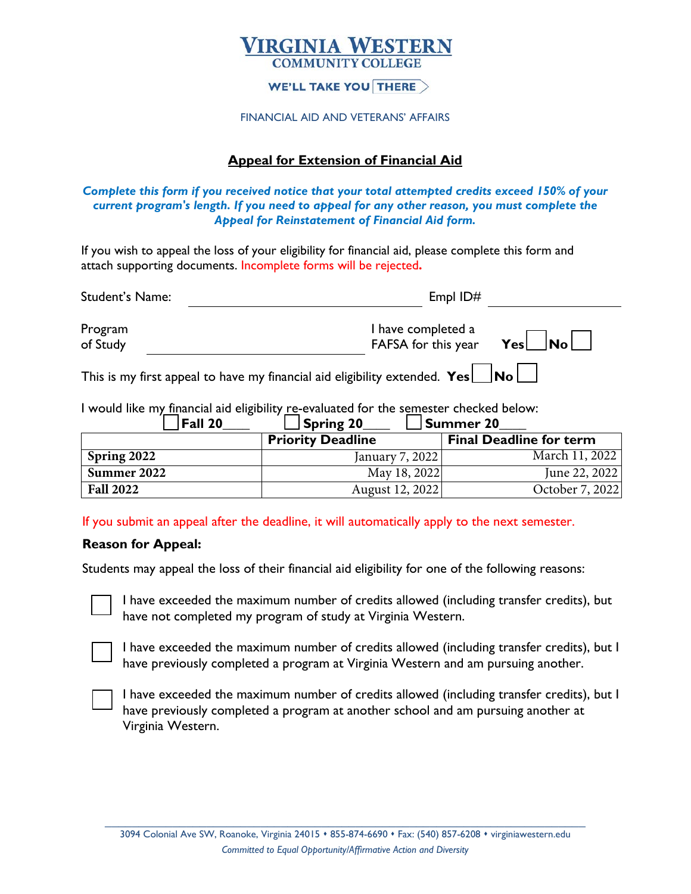# **IRGINIA WESTERN**

#### **WE'LL TAKE YOU THERE**  $>$

#### FINANCIAL AID AND VETERANS' AFFAIRS

### **Appeal for Extension of Financial Aid**

#### *Complete this form if you received notice that your total attempted credits exceed 150% of your current program's length. If you need to appeal for any other reason, you must complete the Appeal for Reinstatement of Financial Aid form.*

If you wish to appeal the loss of your eligibility for financial aid, please complete this form and attach supporting documents. Incomplete forms will be rejected**.**

| Student's Name:                                                                           | Empl ID#                                            |  |  |  |
|-------------------------------------------------------------------------------------------|-----------------------------------------------------|--|--|--|
| Program<br>of Study                                                                       | I have completed a<br>FAFSA for this year $Yes$ No. |  |  |  |
| This is my first appeal to have my financial aid eligibility extended. $Yes \Box No \Box$ |                                                     |  |  |  |

I would like my financial aid eligibility re-evaluated for the semester checked below:  $\Box$   $\epsilon_{\text{unim}}$  20  $\Box$   $\epsilon_{\text{unim}}$  20

| <b>Fall ZV</b>   | ∟ Spring ∠u              | TSummer zu                     |
|------------------|--------------------------|--------------------------------|
|                  | <b>Priority Deadline</b> | <b>Final Deadline for term</b> |
| Spring 2022      | January 7, 2022          | March 11, 2022                 |
| Summer 2022      | May 18, 2022             | June 22, 2022                  |
| <b>Fall 2022</b> | August 12, 2022          | October 7, 2022                |

If you submit an appeal after the deadline, it will automatically apply to the next semester.

#### **Reason for Appeal:**

Students may appeal the loss of their financial aid eligibility for one of the following reasons:



I have exceeded the maximum number of credits allowed (including transfer credits), but have not completed my program of study at Virginia Western.



I have exceeded the maximum number of credits allowed (including transfer credits), but I have previously completed a program at Virginia Western and am pursuing another.



I have exceeded the maximum number of credits allowed (including transfer credits), but I have previously completed a program at another school and am pursuing another at Virginia Western.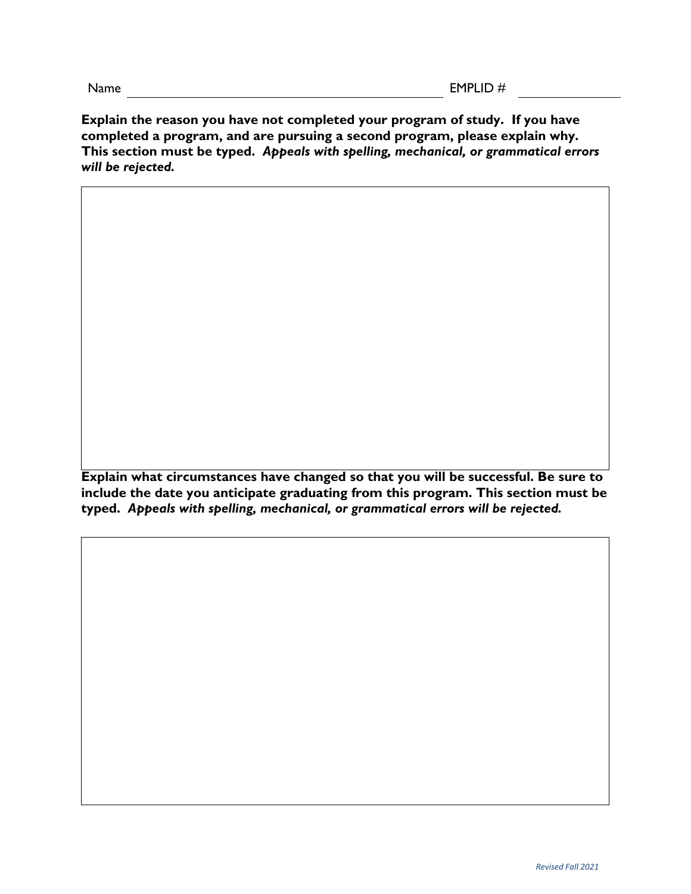**Explain the reason you have not completed your program of study. If you have completed a program, and are pursuing a second program, please explain why. This section must be typed.** *Appeals with spelling, mechanical, or grammatical errors will be rejected.*

**Explain what circumstances have changed so that you will be successful. Be sure to include the date you anticipate graduating from this program. This section must be typed.** *Appeals with spelling, mechanical, or grammatical errors will be rejected.*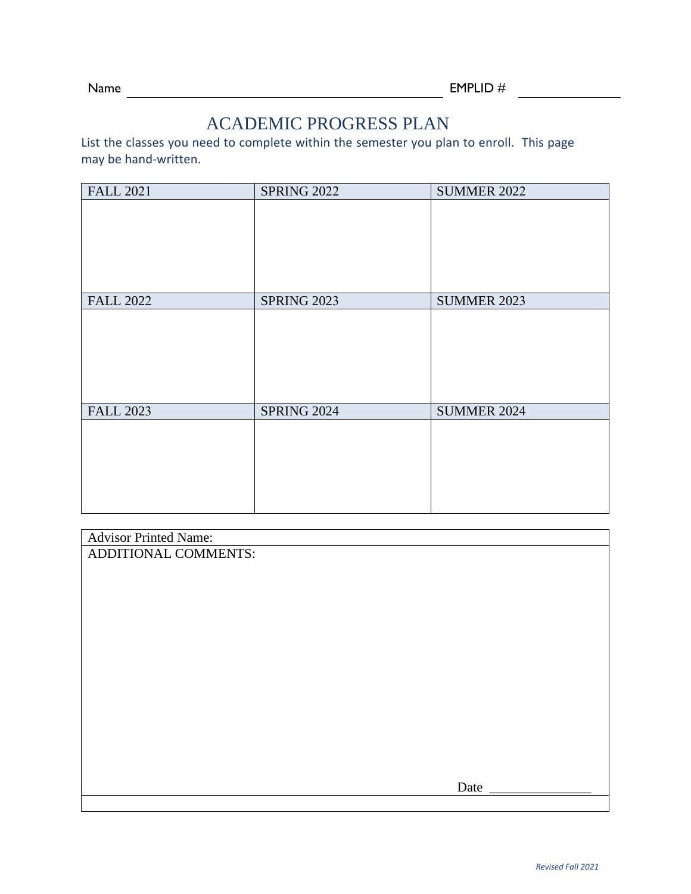## ACADEMIC PROGRESS PLAN

List the classes you need to complete within the semester you plan to enroll. This page may be hand-written.

| <b>FALL 2021</b> | <b>SPRING 2022</b> | <b>SUMMER 2022</b> |
|------------------|--------------------|--------------------|
|                  |                    |                    |
|                  |                    |                    |
|                  |                    |                    |
|                  |                    |                    |
|                  |                    |                    |
| <b>FALL 2022</b> | <b>SPRING 2023</b> | <b>SUMMER 2023</b> |
|                  |                    |                    |
|                  |                    |                    |
|                  |                    |                    |
|                  |                    |                    |
|                  |                    |                    |
| <b>FALL 2023</b> | <b>SPRING 2024</b> | <b>SUMMER 2024</b> |
|                  |                    |                    |
|                  |                    |                    |
|                  |                    |                    |
|                  |                    |                    |
|                  |                    |                    |

| <b>Advisor Printed Name:</b> |      |
|------------------------------|------|
| ADDITIONAL COMMENTS:         |      |
|                              |      |
|                              |      |
|                              |      |
|                              |      |
|                              |      |
|                              |      |
|                              |      |
|                              |      |
|                              |      |
|                              |      |
|                              |      |
|                              |      |
|                              |      |
|                              |      |
|                              | Date |